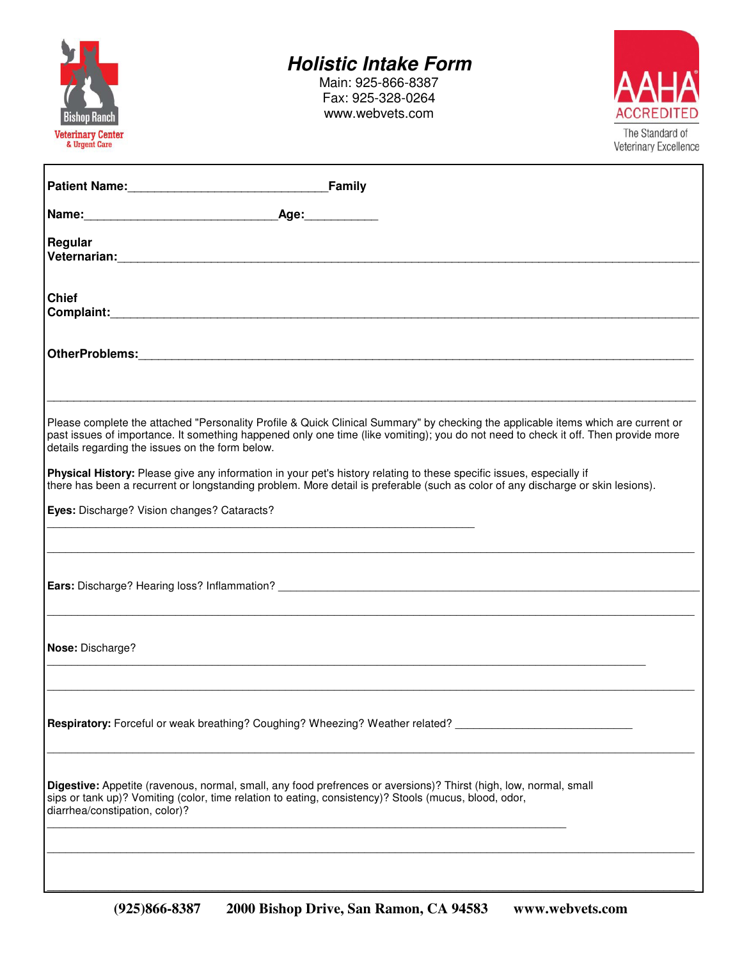

### **Holistic Intake Form**

Main: 925-866-8387 Fax: 925-328-0264 www.webvets.com



| Patient Name: Family                                                                                                                                                                                                                                                                                                                                                                                                                                                                                                                                                                                                                 |
|--------------------------------------------------------------------------------------------------------------------------------------------------------------------------------------------------------------------------------------------------------------------------------------------------------------------------------------------------------------------------------------------------------------------------------------------------------------------------------------------------------------------------------------------------------------------------------------------------------------------------------------|
|                                                                                                                                                                                                                                                                                                                                                                                                                                                                                                                                                                                                                                      |
| Regular                                                                                                                                                                                                                                                                                                                                                                                                                                                                                                                                                                                                                              |
| <b>Chief</b>                                                                                                                                                                                                                                                                                                                                                                                                                                                                                                                                                                                                                         |
|                                                                                                                                                                                                                                                                                                                                                                                                                                                                                                                                                                                                                                      |
| Please complete the attached "Personality Profile & Quick Clinical Summary" by checking the applicable items which are current or<br>past issues of importance. It something happened only one time (like vomiting); you do not need to check it off. Then provide more<br>details regarding the issues on the form below.<br>Physical History: Please give any information in your pet's history relating to these specific issues, especially if<br>there has been a recurrent or longstanding problem. More detail is preferable (such as color of any discharge or skin lesions).<br>Eyes: Discharge? Vision changes? Cataracts? |
|                                                                                                                                                                                                                                                                                                                                                                                                                                                                                                                                                                                                                                      |
| Nose: Discharge?                                                                                                                                                                                                                                                                                                                                                                                                                                                                                                                                                                                                                     |
| <b>Respiratory:</b> Forceful or weak breathing? Coughing? Wheezing? Weather related? ________________________________                                                                                                                                                                                                                                                                                                                                                                                                                                                                                                                |
| Digestive: Appetite (ravenous, normal, small, any food prefrences or aversions)? Thirst (high, low, normal, small<br>sips or tank up)? Vomiting (color, time relation to eating, consistency)? Stools (mucus, blood, odor,<br>diarrhea/constipation, color)?                                                                                                                                                                                                                                                                                                                                                                         |
|                                                                                                                                                                                                                                                                                                                                                                                                                                                                                                                                                                                                                                      |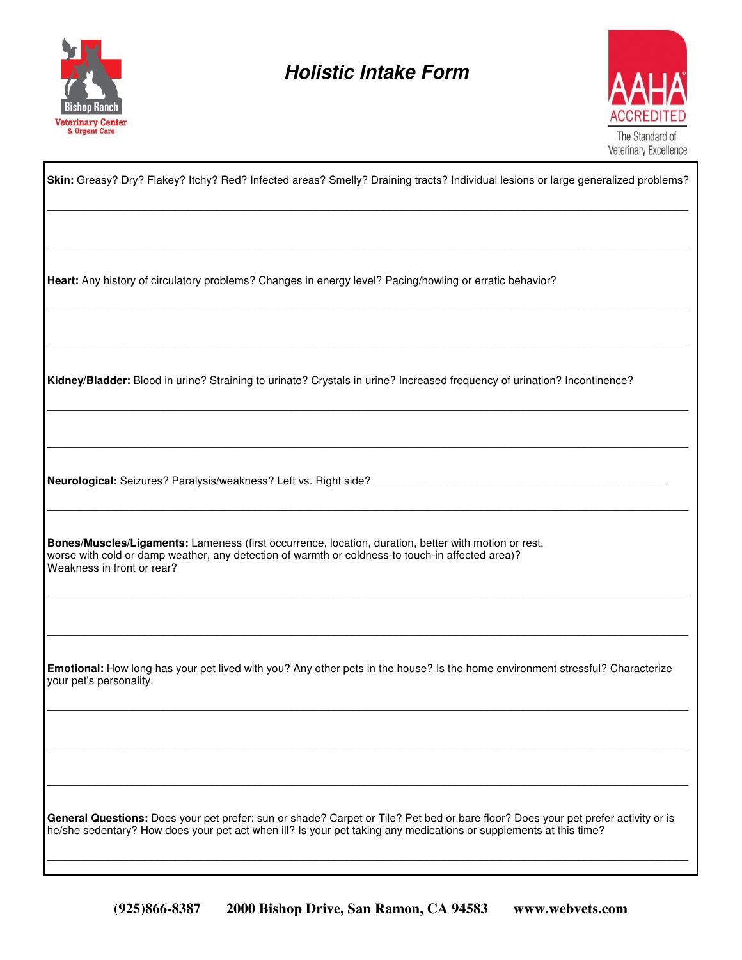

### **Holistic Intake Form**



| Skin: Greasy? Dry? Flakey? Itchy? Red? Infected areas? Smelly? Draining tracts? Individual lesions or large generalized problems?                                                                                                                      |
|--------------------------------------------------------------------------------------------------------------------------------------------------------------------------------------------------------------------------------------------------------|
|                                                                                                                                                                                                                                                        |
| Heart: Any history of circulatory problems? Changes in energy level? Pacing/howling or erratic behavior?                                                                                                                                               |
| Kidney/Bladder: Blood in urine? Straining to urinate? Crystals in urine? Increased frequency of urination? Incontinence?                                                                                                                               |
|                                                                                                                                                                                                                                                        |
| Bones/Muscles/Ligaments: Lameness (first occurrence, location, duration, better with motion or rest,<br>worse with cold or damp weather, any detection of warmth or coldness-to touch-in affected area)?<br>Weakness in front or rear?                 |
|                                                                                                                                                                                                                                                        |
| Emotional: How long has your pet lived with you? Any other pets in the house? Is the home environment stressful? Characterize<br>your pet's personality.                                                                                               |
|                                                                                                                                                                                                                                                        |
|                                                                                                                                                                                                                                                        |
| General Questions: Does your pet prefer: sun or shade? Carpet or Tile? Pet bed or bare floor? Does your pet prefer activity or is<br>he/she sedentary? How does your pet act when ill? Is your pet taking any medications or supplements at this time? |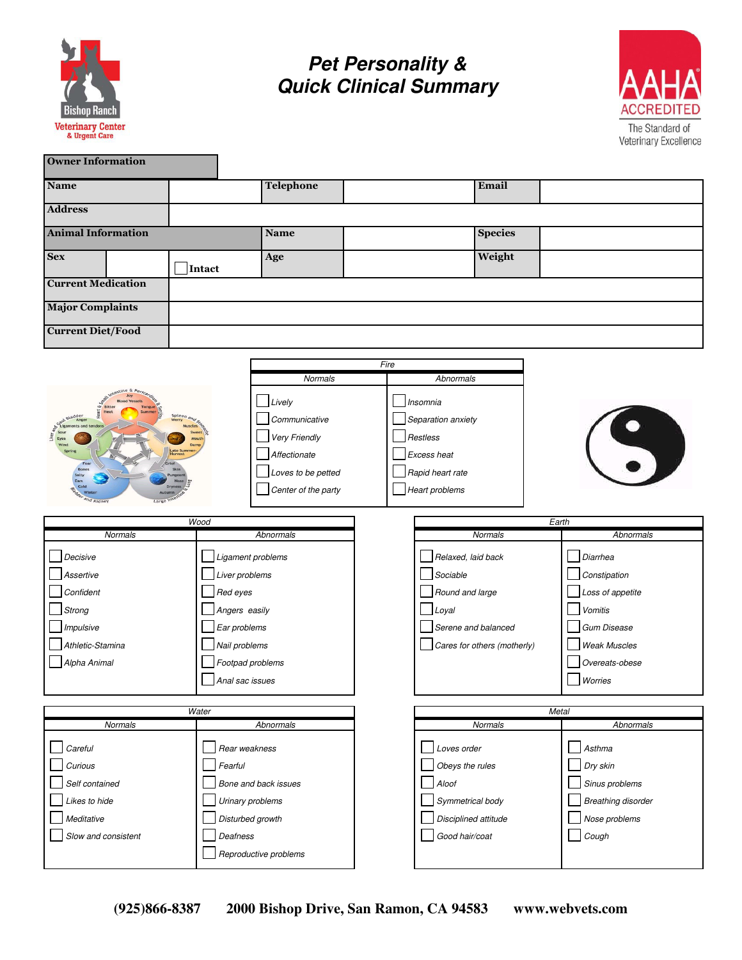

**Pet Personality & Quick Clinical Summary**



| <b>Owner Information</b>  |                                     |                                                           |                                            |                                                   |                |                           |  |
|---------------------------|-------------------------------------|-----------------------------------------------------------|--------------------------------------------|---------------------------------------------------|----------------|---------------------------|--|
| <b>Name</b>               |                                     | Telephone                                                 |                                            |                                                   | Email          |                           |  |
| <b>Address</b>            |                                     |                                                           |                                            |                                                   |                |                           |  |
| <b>Animal Information</b> |                                     | <b>Name</b>                                               |                                            |                                                   | <b>Species</b> |                           |  |
| <b>Sex</b>                | Intact                              | Age                                                       |                                            | Weight                                            |                |                           |  |
| <b>Current Medication</b> |                                     |                                                           |                                            |                                                   |                |                           |  |
| <b>Major Complaints</b>   |                                     |                                                           |                                            |                                                   |                |                           |  |
| <b>Current Diet/Food</b>  |                                     |                                                           |                                            |                                                   |                |                           |  |
|                           |                                     |                                                           | Fire                                       |                                                   |                |                           |  |
|                           |                                     | <b>Normals</b>                                            |                                            | Abnormals                                         |                |                           |  |
|                           |                                     | $\perp$ Lively<br>Communicative<br>Very Friendly          | Insomnia<br>Separation anxiety<br>Restless |                                                   |                |                           |  |
|                           |                                     | Affectionate<br>Loves to be petted<br>Center of the party |                                            | Excess heat<br>Rapid heart rate<br>Heart problems |                |                           |  |
|                           | Wood                                |                                                           |                                            |                                                   | Earth          |                           |  |
| Normals                   |                                     | Abnormals                                                 |                                            | Normals                                           |                | Abnormals                 |  |
| Decisive                  | Ligament problems                   |                                                           |                                            | Relaxed, laid back                                |                | Diarrhea                  |  |
| Assertive                 | Liver problems                      |                                                           |                                            | Sociable                                          |                | Constipation              |  |
| Confident                 | Red eyes                            |                                                           |                                            | Round and large                                   |                | Loss of appetite          |  |
| Strong                    | Angers easily                       |                                                           |                                            | $\Box$ Loyal                                      |                | Vomitis                   |  |
| Impulsive                 | Ear problems                        |                                                           |                                            | Serene and balanced                               |                | <b>Gum Disease</b>        |  |
| Athletic-Stamina          | Nail problems                       |                                                           |                                            | Cares for others (motherly)                       |                | <b>Weak Muscles</b>       |  |
| Alpha Animal              | Footpad problems<br>Anal sac issues |                                                           |                                            |                                                   |                | Overeats-obese            |  |
|                           |                                     |                                                           |                                            |                                                   |                | Worries                   |  |
| Water                     |                                     |                                                           |                                            |                                                   | Metal          |                           |  |
| <b>Normals</b>            |                                     | Abnormals                                                 |                                            | <b>Normals</b>                                    |                | Abnormals                 |  |
| Careful                   | Rear weakness                       |                                                           |                                            | Loves order                                       |                | Asthma                    |  |
| Curious                   | Fearful                             |                                                           |                                            | Obeys the rules                                   |                | Dry skin                  |  |
| Self contained            | Bone and back issues                |                                                           |                                            | Aloof                                             |                | Sinus problems            |  |
| Likes to hide             | Urinary problems                    |                                                           |                                            | Symmetrical body                                  |                | <b>Breathing disorder</b> |  |
| Meditative                | Disturbed growth                    |                                                           |                                            | Disciplined attitude                              |                | Nose problems             |  |
| Slow and consistent       | Deafness                            |                                                           |                                            | Good hair/coat                                    |                | Cough                     |  |

Reproductive problems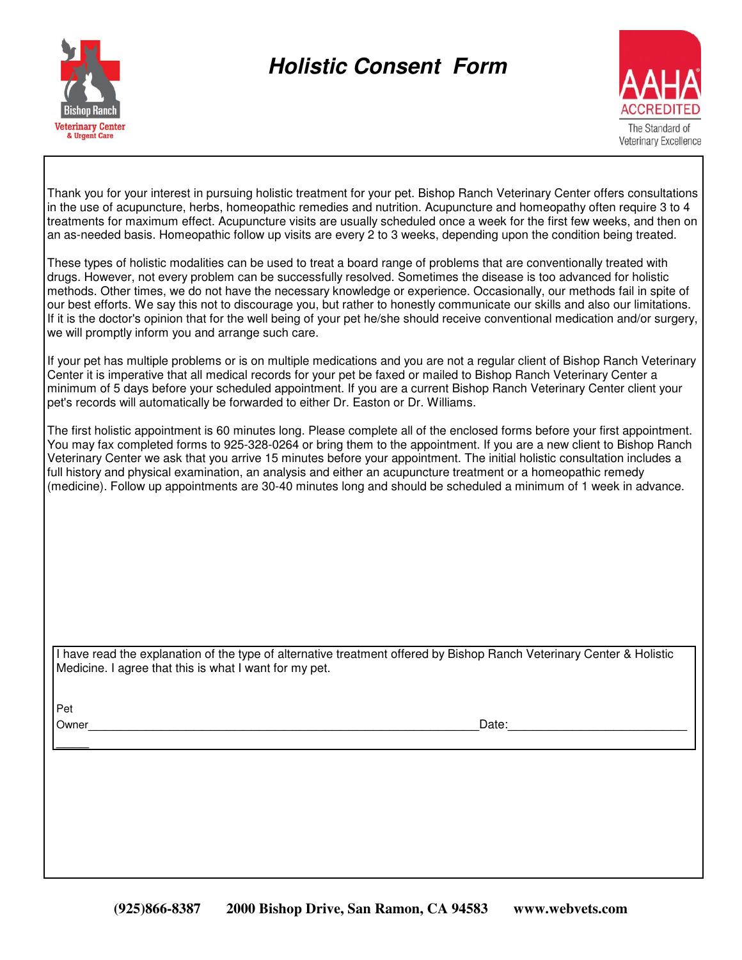

## **Holistic Consent Form**



Thank you for your interest in pursuing holistic treatment for your pet. Bishop Ranch Veterinary Center offers consultations in the use of acupuncture, herbs, homeopathic remedies and nutrition. Acupuncture and homeopathy often require 3 to 4 treatments for maximum effect. Acupuncture visits are usually scheduled once a week for the first few weeks, and then on an as-needed basis. Homeopathic follow up visits are every 2 to 3 weeks, depending upon the condition being treated.

These types of holistic modalities can be used to treat a board range of problems that are conventionally treated with drugs. However, not every problem can be successfully resolved. Sometimes the disease is too advanced for holistic methods. Other times, we do not have the necessary knowledge or experience. Occasionally, our methods fail in spite of our best efforts. We say this not to discourage you, but rather to honestly communicate our skills and also our limitations. If it is the doctor's opinion that for the well being of your pet he/she should receive conventional medication and/or surgery, we will promptly inform you and arrange such care.

If your pet has multiple problems or is on multiple medications and you are not a regular client of Bishop Ranch Veterinary Center it is imperative that all medical records for your pet be faxed or mailed to Bishop Ranch Veterinary Center a minimum of 5 days before your scheduled appointment. If you are a current Bishop Ranch Veterinary Center client your pet's records will automatically be forwarded to either Dr. Easton or Dr. Williams.

The first holistic appointment is 60 minutes long. Please complete all of the enclosed forms before your first appointment. You may fax completed forms to 925-328-0264 or bring them to the appointment. If you are a new client to Bishop Ranch Veterinary Center we ask that you arrive 15 minutes before your appointment. The initial holistic consultation includes a full history and physical examination, an analysis and either an acupuncture treatment or a homeopathic remedy (medicine). Follow up appointments are 30-40 minutes long and should be scheduled a minimum of 1 week in advance.

I have read the explanation of the type of alternative treatment offered by Bishop Ranch Veterinary Center & Holistic Medicine. I agree that this is what I want for my pet.

Pet

 $\overline{\phantom{a}}$ 

Owner\_\_\_\_\_\_\_\_\_\_\_\_\_\_\_\_\_\_\_\_\_\_\_\_\_\_\_\_\_\_\_\_\_\_\_\_\_\_\_\_\_\_\_\_\_\_\_\_Date:\_\_\_\_\_\_\_\_\_\_\_\_\_\_\_\_\_\_\_\_\_\_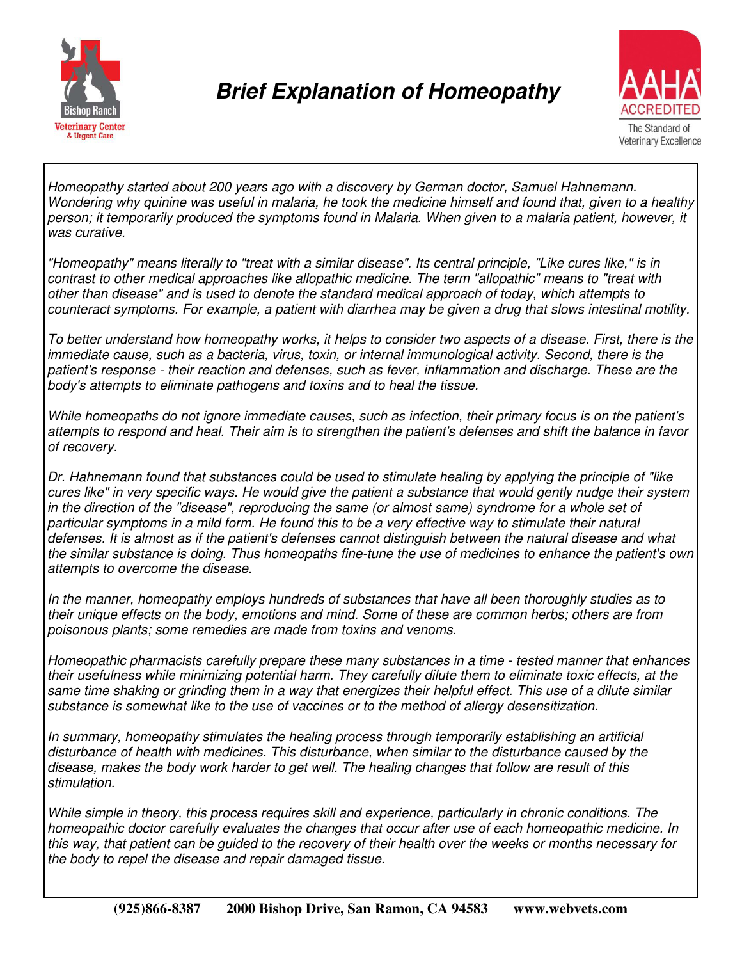

## **Brief Explanation of Homeopathy**



Homeopathy started about 200 years ago with a discovery by German doctor, Samuel Hahnemann. Wondering why quinine was useful in malaria, he took the medicine himself and found that, given to a healthy person; it temporarily produced the symptoms found in Malaria. When given to a malaria patient, however, it was curative.

"Homeopathy" means literally to "treat with a similar disease". Its central principle, "Like cures like," is in contrast to other medical approaches like allopathic medicine. The term "allopathic" means to "treat with other than disease" and is used to denote the standard medical approach of today, which attempts to counteract symptoms. For example, a patient with diarrhea may be given a drug that slows intestinal motility.

To better understand how homeopathy works, it helps to consider two aspects of a disease. First, there is the immediate cause, such as a bacteria, virus, toxin, or internal immunological activity. Second, there is the patient's response - their reaction and defenses, such as fever, inflammation and discharge. These are the body's attempts to eliminate pathogens and toxins and to heal the tissue.

While homeopaths do not ignore immediate causes, such as infection, their primary focus is on the patient's attempts to respond and heal. Their aim is to strengthen the patient's defenses and shift the balance in favor of recovery.

Dr. Hahnemann found that substances could be used to stimulate healing by applying the principle of "like cures like" in very specific ways. He would give the patient a substance that would gently nudge their system in the direction of the "disease", reproducing the same (or almost same) syndrome for a whole set of particular symptoms in a mild form. He found this to be a very effective way to stimulate their natural defenses. It is almost as if the patient's defenses cannot distinguish between the natural disease and what the similar substance is doing. Thus homeopaths fine-tune the use of medicines to enhance the patient's own attempts to overcome the disease.

In the manner, homeopathy employs hundreds of substances that have all been thoroughly studies as to their unique effects on the body, emotions and mind. Some of these are common herbs; others are from poisonous plants; some remedies are made from toxins and venoms.

Homeopathic pharmacists carefully prepare these many substances in a time - tested manner that enhances their usefulness while minimizing potential harm. They carefully dilute them to eliminate toxic effects, at the same time shaking or grinding them in a way that energizes their helpful effect. This use of a dilute similar substance is somewhat like to the use of vaccines or to the method of allergy desensitization.

In summary, homeopathy stimulates the healing process through temporarily establishing an artificial disturbance of health with medicines. This disturbance, when similar to the disturbance caused by the disease, makes the body work harder to get well. The healing changes that follow are result of this stimulation.

While simple in theory, this process requires skill and experience, particularly in chronic conditions. The homeopathic doctor carefully evaluates the changes that occur after use of each homeopathic medicine. In this way, that patient can be guided to the recovery of their health over the weeks or months necessary for the body to repel the disease and repair damaged tissue.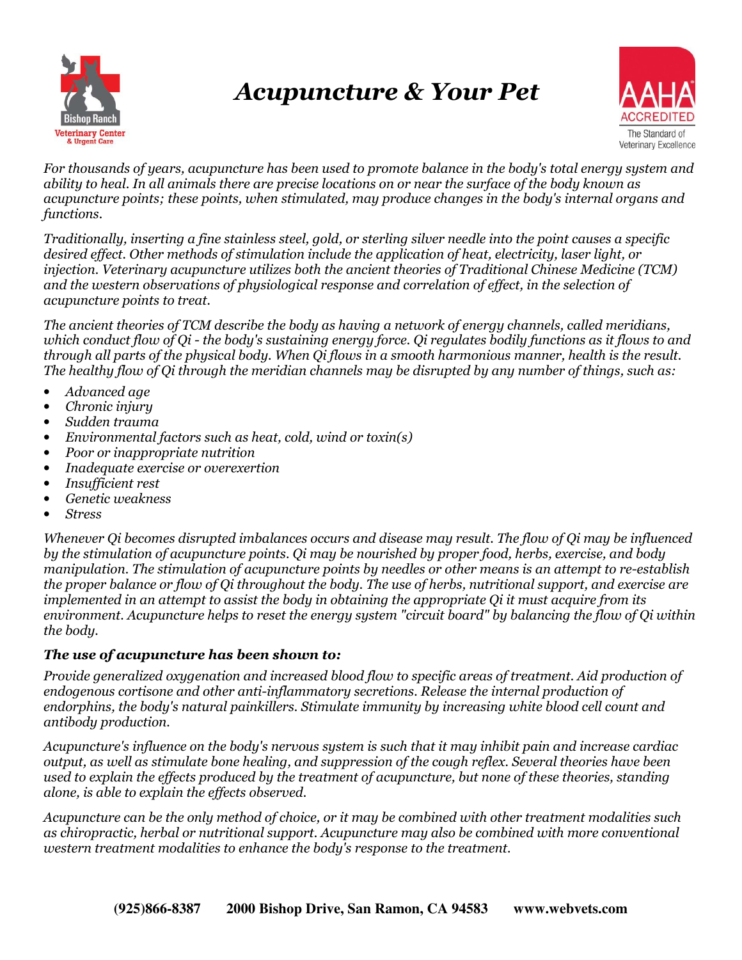

# Acupuncture & Your Pet



For thousands of years, acupuncture has been used to promote balance in the body's total energy system and ability to heal. In all animals there are precise locations on or near the surface of the body known as acupuncture points; these points, when stimulated, may produce changes in the body's internal organs and functions.

Traditionally, inserting a fine stainless steel, gold, or sterling silver needle into the point causes a specific desired effect. Other methods of stimulation include the application of heat, electricity, laser light, or injection. Veterinary acupuncture utilizes both the ancient theories of Traditional Chinese Medicine (TCM) and the western observations of physiological response and correlation of effect, in the selection of acupuncture points to treat.

The ancient theories of TCM describe the body as having a network of energy channels, called meridians, which conduct flow of Qi - the body's sustaining energy force. Qi regulates bodily functions as it flows to and through all parts of the physical body. When Qi flows in a smooth harmonious manner, health is the result. The healthy flow of Qi through the meridian channels may be disrupted by any number of things, such as:

- Advanced age
- Chronic injury
- Sudden trauma
- Environmental factors such as heat, cold, wind or toxin(s)
- Poor or inappropriate nutrition
- Inadequate exercise or overexertion
- Insufficient rest
- Genetic weakness
- **Stress**

Whenever Qi becomes disrupted imbalances occurs and disease may result. The flow of Qi may be influenced by the stimulation of acupuncture points. Qi may be nourished by proper food, herbs, exercise, and body manipulation. The stimulation of acupuncture points by needles or other means is an attempt to re-establish the proper balance or flow of Qi throughout the body. The use of herbs, nutritional support, and exercise are implemented in an attempt to assist the body in obtaining the appropriate Qi it must acquire from its environment. Acupuncture helps to reset the energy system "circuit board" by balancing the flow of Qi within the body.

#### The use of acupuncture has been shown to:

Provide generalized oxygenation and increased blood flow to specific areas of treatment. Aid production of endogenous cortisone and other anti-inflammatory secretions. Release the internal production of endorphins, the body's natural painkillers. Stimulate immunity by increasing white blood cell count and antibody production.

Acupuncture's influence on the body's nervous system is such that it may inhibit pain and increase cardiac output, as well as stimulate bone healing, and suppression of the cough reflex. Several theories have been used to explain the effects produced by the treatment of acupuncture, but none of these theories, standing alone, is able to explain the effects observed.

Acupuncture can be the only method of choice, or it may be combined with other treatment modalities such as chiropractic, herbal or nutritional support. Acupuncture may also be combined with more conventional western treatment modalities to enhance the body's response to the treatment.